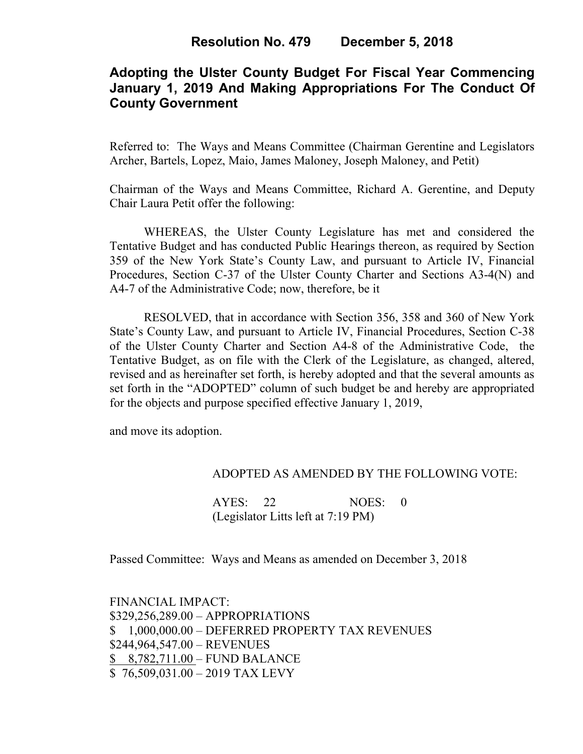# **Adopting the Ulster County Budget For Fiscal Year Commencing January 1, 2019 And Making Appropriations For The Conduct Of County Government**

Referred to: The Ways and Means Committee (Chairman Gerentine and Legislators Archer, Bartels, Lopez, Maio, James Maloney, Joseph Maloney, and Petit)

Chairman of the Ways and Means Committee, Richard A. Gerentine, and Deputy Chair Laura Petit offer the following:

WHEREAS, the Ulster County Legislature has met and considered the Tentative Budget and has conducted Public Hearings thereon, as required by Section 359 of the New York State's County Law, and pursuant to Article IV, Financial Procedures, Section C-37 of the Ulster County Charter and Sections A3-4(N) and A4-7 of the Administrative Code; now, therefore, be it

RESOLVED, that in accordance with Section 356, 358 and 360 of New York State's County Law, and pursuant to Article IV, Financial Procedures, Section C-38 of the Ulster County Charter and Section A4-8 of the Administrative Code, the Tentative Budget, as on file with the Clerk of the Legislature, as changed, altered, revised and as hereinafter set forth, is hereby adopted and that the several amounts as set forth in the "ADOPTED" column of such budget be and hereby are appropriated for the objects and purpose specified effective January 1, 2019,

and move its adoption.

## ADOPTED AS AMENDED BY THE FOLLOWING VOTE:

AYES: 22 NOES: 0 (Legislator Litts left at 7:19 PM)

Passed Committee: Ways and Means as amended on December 3, 2018

FINANCIAL IMPACT: \$329,256,289.00 – APPROPRIATIONS \$ 1,000,000.00 – DEFERRED PROPERTY TAX REVENUES \$244,964,547.00 – REVENUES \$ 8,782,711.00 – FUND BALANCE \$ 76,509,031.00 – 2019 TAX LEVY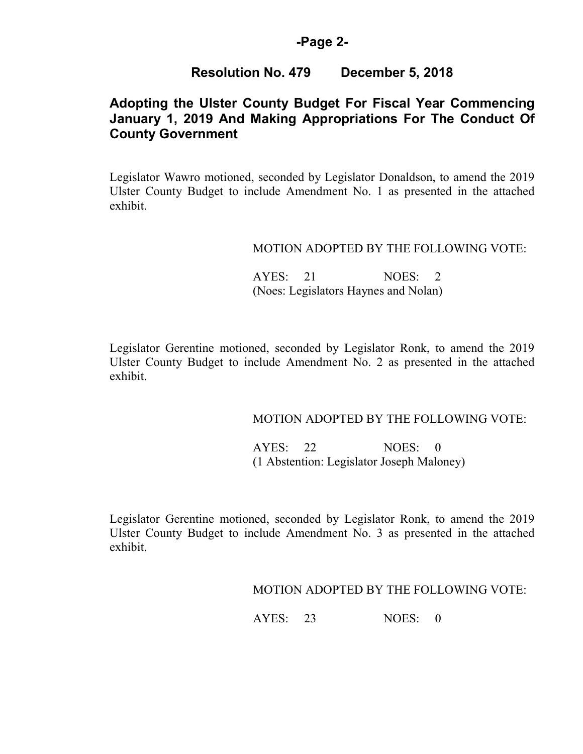## **-Page 2-**

# **Resolution No. 479 December 5, 2018**

# **Adopting the Ulster County Budget For Fiscal Year Commencing January 1, 2019 And Making Appropriations For The Conduct Of County Government**

Legislator Wawro motioned, seconded by Legislator Donaldson, to amend the 2019 Ulster County Budget to include Amendment No. 1 as presented in the attached exhibit.

### MOTION ADOPTED BY THE FOLLOWING VOTE:

AYES: 21 NOES: 2 (Noes: Legislators Haynes and Nolan)

Legislator Gerentine motioned, seconded by Legislator Ronk, to amend the 2019 Ulster County Budget to include Amendment No. 2 as presented in the attached exhibit.

### MOTION ADOPTED BY THE FOLLOWING VOTE:

 AYES: 22 NOES: 0 (1 Abstention: Legislator Joseph Maloney)

Legislator Gerentine motioned, seconded by Legislator Ronk, to amend the 2019 Ulster County Budget to include Amendment No. 3 as presented in the attached exhibit.

MOTION ADOPTED BY THE FOLLOWING VOTE: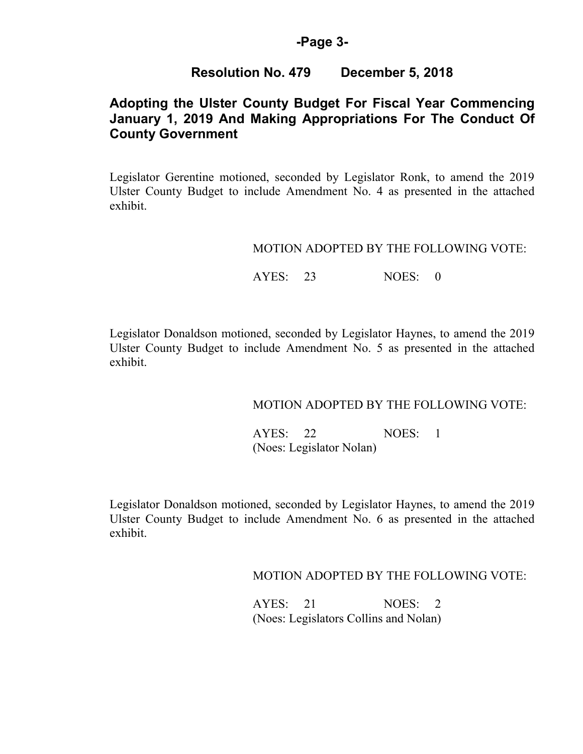## **-Page 3-**

## **Resolution No. 479 December 5, 2018**

# **Adopting the Ulster County Budget For Fiscal Year Commencing January 1, 2019 And Making Appropriations For The Conduct Of County Government**

Legislator Gerentine motioned, seconded by Legislator Ronk, to amend the 2019 Ulster County Budget to include Amendment No. 4 as presented in the attached exhibit.

### MOTION ADOPTED BY THE FOLLOWING VOTE:

## AYES: 23 NOES: 0

Legislator Donaldson motioned, seconded by Legislator Haynes, to amend the 2019 Ulster County Budget to include Amendment No. 5 as presented in the attached exhibit.

## MOTION ADOPTED BY THE FOLLOWING VOTE:

 AYES: 22 NOES: 1 (Noes: Legislator Nolan)

Legislator Donaldson motioned, seconded by Legislator Haynes, to amend the 2019 Ulster County Budget to include Amendment No. 6 as presented in the attached exhibit.

MOTION ADOPTED BY THE FOLLOWING VOTE:

AYES: 21 NOES: 2 (Noes: Legislators Collins and Nolan)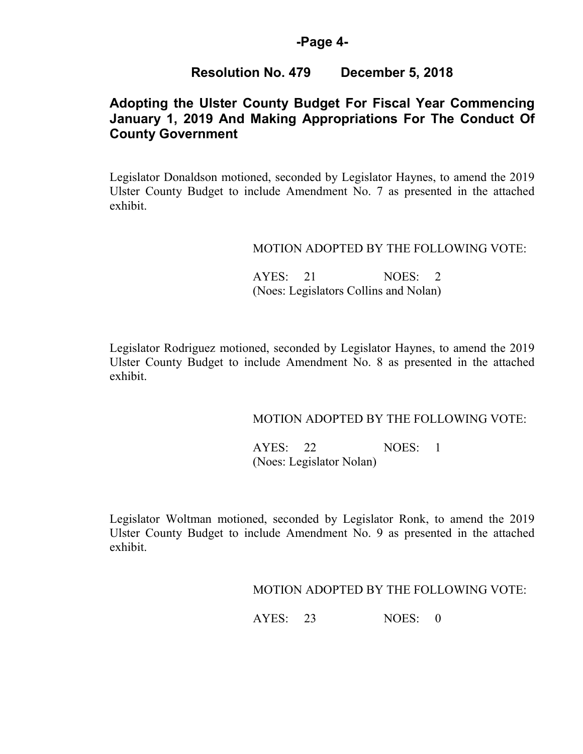## **-Page 4-**

## **Resolution No. 479 December 5, 2018**

# **Adopting the Ulster County Budget For Fiscal Year Commencing January 1, 2019 And Making Appropriations For The Conduct Of County Government**

Legislator Donaldson motioned, seconded by Legislator Haynes, to amend the 2019 Ulster County Budget to include Amendment No. 7 as presented in the attached exhibit.

### MOTION ADOPTED BY THE FOLLOWING VOTE:

AYES: 21 NOES: 2 (Noes: Legislators Collins and Nolan)

Legislator Rodriguez motioned, seconded by Legislator Haynes, to amend the 2019 Ulster County Budget to include Amendment No. 8 as presented in the attached exhibit.

### MOTION ADOPTED BY THE FOLLOWING VOTE:

 AYES: 22 NOES: 1 (Noes: Legislator Nolan)

Legislator Woltman motioned, seconded by Legislator Ronk, to amend the 2019 Ulster County Budget to include Amendment No. 9 as presented in the attached exhibit.

MOTION ADOPTED BY THE FOLLOWING VOTE: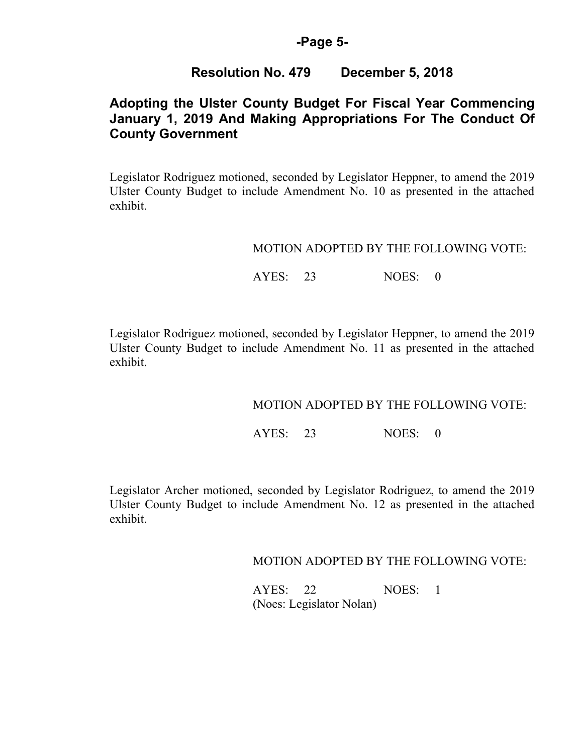## **-Page 5-**

## **Resolution No. 479 December 5, 2018**

# **Adopting the Ulster County Budget For Fiscal Year Commencing January 1, 2019 And Making Appropriations For The Conduct Of County Government**

Legislator Rodriguez motioned, seconded by Legislator Heppner, to amend the 2019 Ulster County Budget to include Amendment No. 10 as presented in the attached exhibit.

### MOTION ADOPTED BY THE FOLLOWING VOTE:

## AYES: 23 NOES: 0

Legislator Rodriguez motioned, seconded by Legislator Heppner, to amend the 2019 Ulster County Budget to include Amendment No. 11 as presented in the attached exhibit.

## MOTION ADOPTED BY THE FOLLOWING VOTE:

AYES: 23 NOES: 0

Legislator Archer motioned, seconded by Legislator Rodriguez, to amend the 2019 Ulster County Budget to include Amendment No. 12 as presented in the attached exhibit.

## MOTION ADOPTED BY THE FOLLOWING VOTE:

 AYES: 22 NOES: 1 (Noes: Legislator Nolan)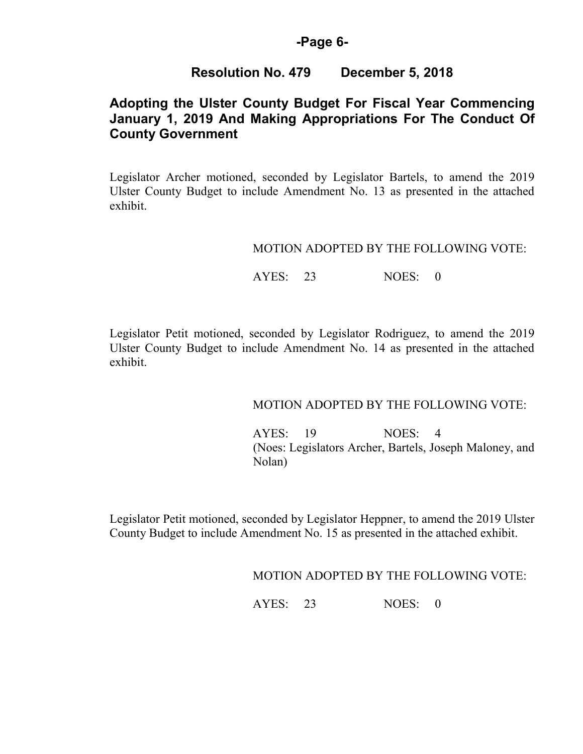## **-Page 6-**

# **Resolution No. 479 December 5, 2018**

# **Adopting the Ulster County Budget For Fiscal Year Commencing January 1, 2019 And Making Appropriations For The Conduct Of County Government**

Legislator Archer motioned, seconded by Legislator Bartels, to amend the 2019 Ulster County Budget to include Amendment No. 13 as presented in the attached exhibit.

### MOTION ADOPTED BY THE FOLLOWING VOTE:

## AYES: 23 NOES: 0

Legislator Petit motioned, seconded by Legislator Rodriguez, to amend the 2019 Ulster County Budget to include Amendment No. 14 as presented in the attached exhibit.

## MOTION ADOPTED BY THE FOLLOWING VOTE:

 AYES: 19 NOES: 4 (Noes: Legislators Archer, Bartels, Joseph Maloney, and Nolan)

Legislator Petit motioned, seconded by Legislator Heppner, to amend the 2019 Ulster County Budget to include Amendment No. 15 as presented in the attached exhibit.

MOTION ADOPTED BY THE FOLLOWING VOTE: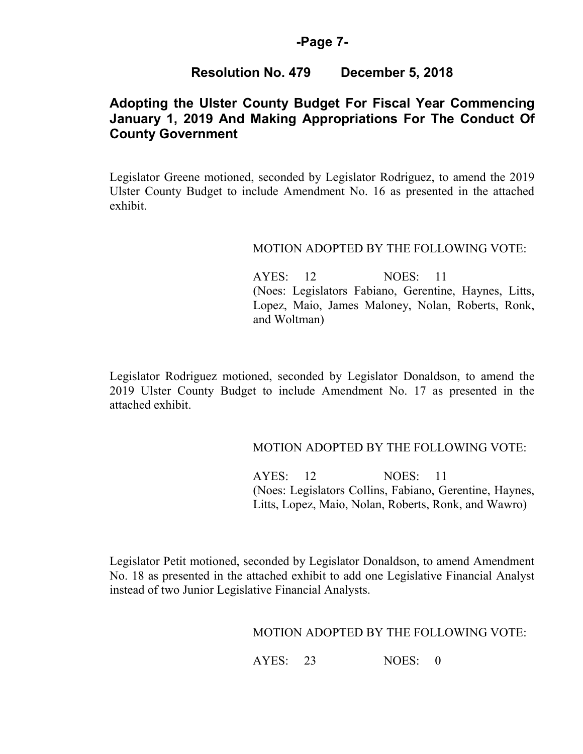### **-Page 7-**

# **Resolution No. 479 December 5, 2018**

# **Adopting the Ulster County Budget For Fiscal Year Commencing January 1, 2019 And Making Appropriations For The Conduct Of County Government**

Legislator Greene motioned, seconded by Legislator Rodriguez, to amend the 2019 Ulster County Budget to include Amendment No. 16 as presented in the attached exhibit.

### MOTION ADOPTED BY THE FOLLOWING VOTE:

AYES: 12 NOES: 11 (Noes: Legislators Fabiano, Gerentine, Haynes, Litts, Lopez, Maio, James Maloney, Nolan, Roberts, Ronk, and Woltman)

Legislator Rodriguez motioned, seconded by Legislator Donaldson, to amend the 2019 Ulster County Budget to include Amendment No. 17 as presented in the attached exhibit.

### MOTION ADOPTED BY THE FOLLOWING VOTE:

AYES: 12 NOES: 11 (Noes: Legislators Collins, Fabiano, Gerentine, Haynes, Litts, Lopez, Maio, Nolan, Roberts, Ronk, and Wawro)

Legislator Petit motioned, seconded by Legislator Donaldson, to amend Amendment No. 18 as presented in the attached exhibit to add one Legislative Financial Analyst instead of two Junior Legislative Financial Analysts.

## MOTION ADOPTED BY THE FOLLOWING VOTE: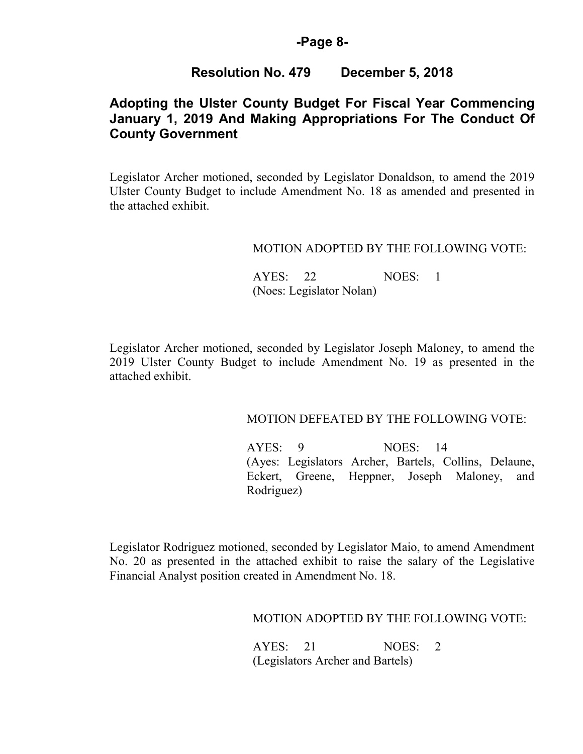## **-Page 8-**

# **Resolution No. 479 December 5, 2018**

# **Adopting the Ulster County Budget For Fiscal Year Commencing January 1, 2019 And Making Appropriations For The Conduct Of County Government**

Legislator Archer motioned, seconded by Legislator Donaldson, to amend the 2019 Ulster County Budget to include Amendment No. 18 as amended and presented in the attached exhibit.

### MOTION ADOPTED BY THE FOLLOWING VOTE:

 AYES: 22 NOES: 1 (Noes: Legislator Nolan)

Legislator Archer motioned, seconded by Legislator Joseph Maloney, to amend the 2019 Ulster County Budget to include Amendment No. 19 as presented in the attached exhibit.

### MOTION DEFEATED BY THE FOLLOWING VOTE:

 AYES: 9 NOES: 14 (Ayes: Legislators Archer, Bartels, Collins, Delaune, Eckert, Greene, Heppner, Joseph Maloney, and Rodriguez)

Legislator Rodriguez motioned, seconded by Legislator Maio, to amend Amendment No. 20 as presented in the attached exhibit to raise the salary of the Legislative Financial Analyst position created in Amendment No. 18.

### MOTION ADOPTED BY THE FOLLOWING VOTE:

| AYES: 21 |                                  | NOES: 2 |  |
|----------|----------------------------------|---------|--|
|          | (Legislators Archer and Bartels) |         |  |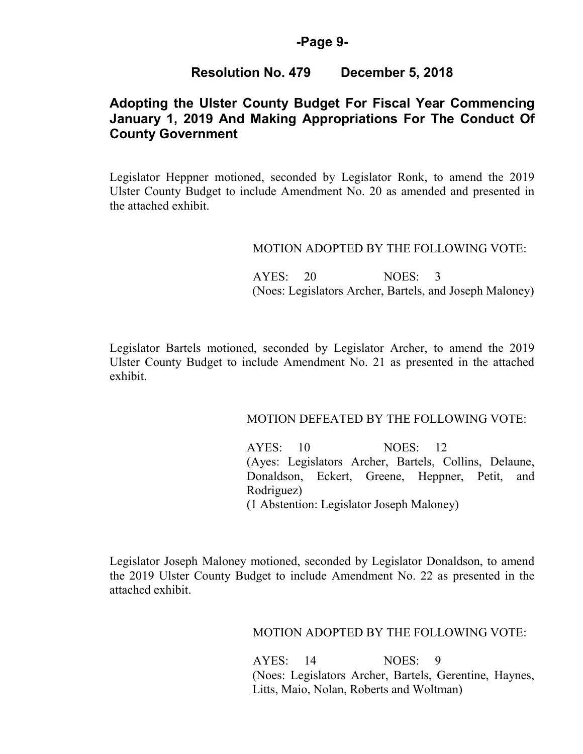## **-Page 9-**

## **Resolution No. 479 December 5, 2018**

# **Adopting the Ulster County Budget For Fiscal Year Commencing January 1, 2019 And Making Appropriations For The Conduct Of County Government**

Legislator Heppner motioned, seconded by Legislator Ronk, to amend the 2019 Ulster County Budget to include Amendment No. 20 as amended and presented in the attached exhibit.

### MOTION ADOPTED BY THE FOLLOWING VOTE:

 AYES: 20 NOES: 3 (Noes: Legislators Archer, Bartels, and Joseph Maloney)

Legislator Bartels motioned, seconded by Legislator Archer, to amend the 2019 Ulster County Budget to include Amendment No. 21 as presented in the attached exhibit.

### MOTION DEFEATED BY THE FOLLOWING VOTE:

 AYES: 10 NOES: 12 (Ayes: Legislators Archer, Bartels, Collins, Delaune, Donaldson, Eckert, Greene, Heppner, Petit, and Rodriguez) (1 Abstention: Legislator Joseph Maloney)

Legislator Joseph Maloney motioned, seconded by Legislator Donaldson, to amend the 2019 Ulster County Budget to include Amendment No. 22 as presented in the attached exhibit.

### MOTION ADOPTED BY THE FOLLOWING VOTE:

 AYES: 14 NOES: 9 (Noes: Legislators Archer, Bartels, Gerentine, Haynes, Litts, Maio, Nolan, Roberts and Woltman)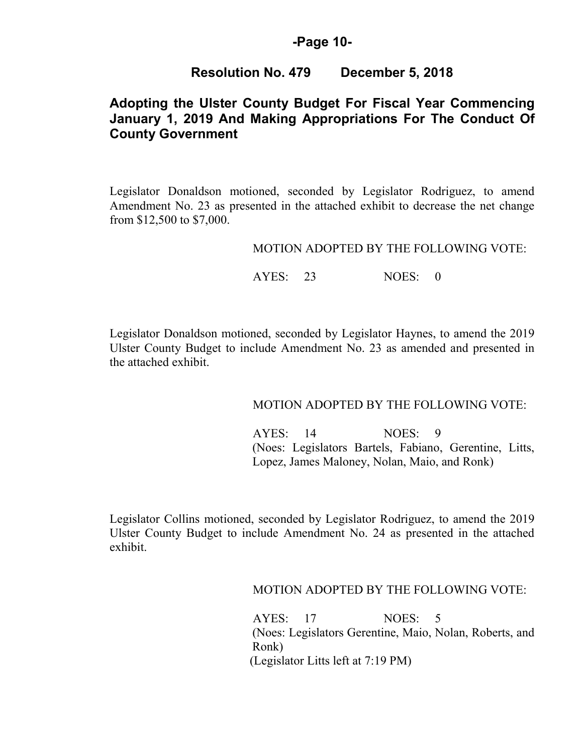## **-Page 10-**

## **Resolution No. 479 December 5, 2018**

# **Adopting the Ulster County Budget For Fiscal Year Commencing January 1, 2019 And Making Appropriations For The Conduct Of County Government**

Legislator Donaldson motioned, seconded by Legislator Rodriguez, to amend Amendment No. 23 as presented in the attached exhibit to decrease the net change from \$12,500 to \$7,000.

#### MOTION ADOPTED BY THE FOLLOWING VOTE:

AYES: 23 NOES: 0

Legislator Donaldson motioned, seconded by Legislator Haynes, to amend the 2019 Ulster County Budget to include Amendment No. 23 as amended and presented in the attached exhibit.

### MOTION ADOPTED BY THE FOLLOWING VOTE:

 AYES: 14 NOES: 9 (Noes: Legislators Bartels, Fabiano, Gerentine, Litts, Lopez, James Maloney, Nolan, Maio, and Ronk)

Legislator Collins motioned, seconded by Legislator Rodriguez, to amend the 2019 Ulster County Budget to include Amendment No. 24 as presented in the attached exhibit.

MOTION ADOPTED BY THE FOLLOWING VOTE:

 AYES: 17 NOES: 5 (Noes: Legislators Gerentine, Maio, Nolan, Roberts, and Ronk) (Legislator Litts left at 7:19 PM)